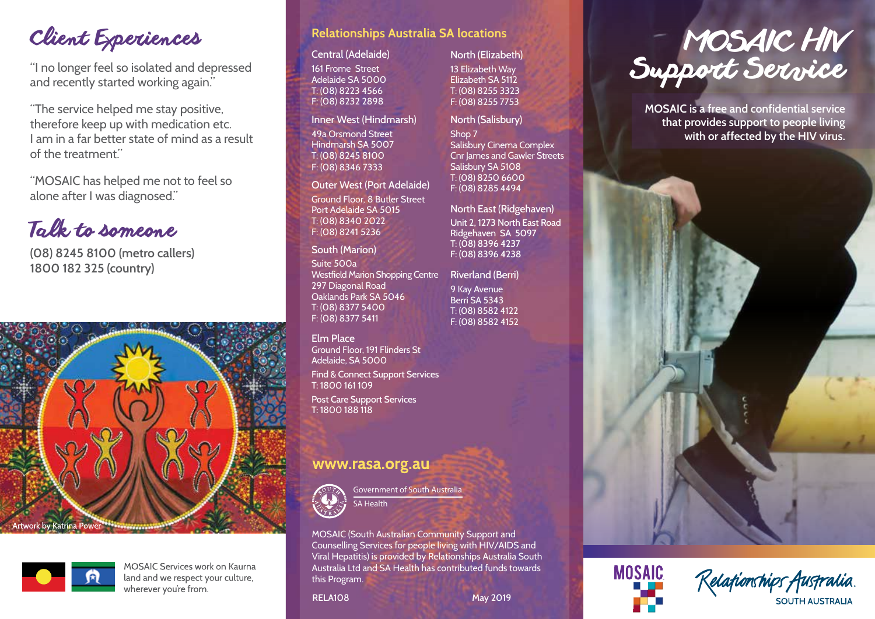# Client Experiences

"I no longer feel so isolated and depressed and recently started working again."

"The service helped me stay positive, therefore keep up with medication etc. I am in a far better state of mind as a result of the treatment."

"MOSAIC has helped me not to feel so alone after I was diagnosed."

# Talk to someone

**(08) 8245 8100 (metro callers) 1800 182 325 (country)**





**MOSAIC Services work on Kaurna** land and we respect your culture, wherever you're from.

## **Relationships Australia SA locations**

### Central (Adelaide)

161 Frome Street Adelaide SA 5000 T: (08) 8223 4566 F: (08) 8232 2898

#### Inner West (Hindmarsh)

49a Orsmond Street Hindmarsh SA 5007 T: (08) 8245 8100 F: (08) 8346 7333

### Outer West (Port Adelaide)

Ground Floor, 8 Butler Street Port Adelaide SA 5015 T: (08) 8340 2022 F: (08) 8241 5236

### South (Marion)

Suite 500a Westfield Marion Shopping Centre 297 Diagonal Road Oaklands Park SA 5046 T: (08) 8377 5400 F: (08) 8377 5411

# Elm Place

Ground Floor, 191 Flinders St Adelaide, SA 5000

Find & Connect Support Services T: 1800 161 109

Post Care Support Services T: 1800 188 118

# www.rasa.org.au



**Government of South Australia** SA Health

MOSAIC (South Australian Community Support and Counselling Services for people living with HIV/AIDS and Viral Hepatitis) is provided by Relationships Australia South Australia Ltd and SA Health has contributed funds towards this Program.

### North (Elizabeth)

13 Elizabeth Way Elizabeth SA 5112 T: (08) 8255 3323 F: (08) 8255 7753

#### North (Salisbury)

Shop 7 Salisbury Cinema Complex Cnr James and Gawler Streets Salisbury SA 5108 T: (08) 8250 6600 F: (08) 8285 4494

North East (Ridgehaven) Unit 2, 1273 North East Road Ridgehaven SA 5097 T: (08) 8396 4237 F: (08) 8396 4238

Riverland (Berri) 9 Kay Avenue Berri SA 5343 T: (08) 8582 4122 F: (08) 8582 4152



**MOSAIC is a free and confidential service that provides support to people living with or affected by the HIV virus.**





RELA108 May 2019